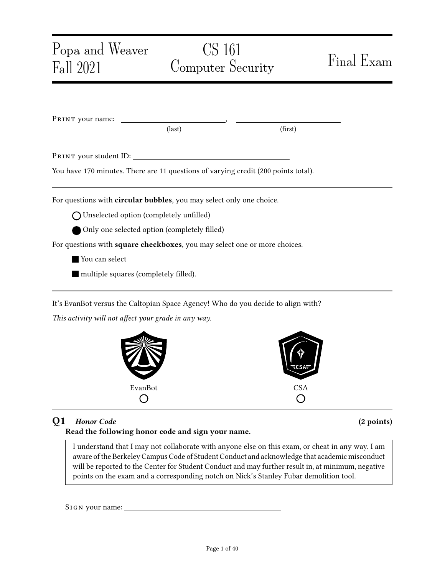| Popa and Weaver |                                                                           | CS 161                                                                             | Final Exam |
|-----------------|---------------------------------------------------------------------------|------------------------------------------------------------------------------------|------------|
| Fall 2021       |                                                                           | Computer Security                                                                  |            |
|                 |                                                                           |                                                                                    |            |
|                 | PRINT your name:                                                          |                                                                                    |            |
|                 | $\text{(last)}$                                                           | (first)                                                                            |            |
|                 |                                                                           |                                                                                    |            |
|                 |                                                                           |                                                                                    |            |
|                 |                                                                           | You have 170 minutes. There are 11 questions of varying credit (200 points total). |            |
|                 | For questions with circular bubbles, you may select only one choice.      |                                                                                    |            |
|                 | ◯ Unselected option (completely unfilled)                                 |                                                                                    |            |
|                 | Only one selected option (completely filled)                              |                                                                                    |            |
|                 | For questions with square checkboxes, you may select one or more choices. |                                                                                    |            |
| You can select  |                                                                           |                                                                                    |            |
|                 | multiple squares (completely filled).                                     |                                                                                    |            |
|                 |                                                                           |                                                                                    |            |
|                 |                                                                           | It's EvanBot versus the Caltopian Space Agency! Who do you decide to align with?   |            |
|                 | This activity will not affect your grade in any way.                      |                                                                                    |            |



## Q1 Honor Code (2 points)

## Read the following honor code and sign your name.

I understand that I may not collaborate with anyone else on this exam, or cheat in any way. I am aware of the Berkeley Campus Code of Student Conduct and acknowledge that academic misconduct will be reported to the Center for Student Conduct and may further result in, at minimum, negative points on the exam and a corresponding notch on Nick's Stanley Fubar demolition tool.

SIGN your name: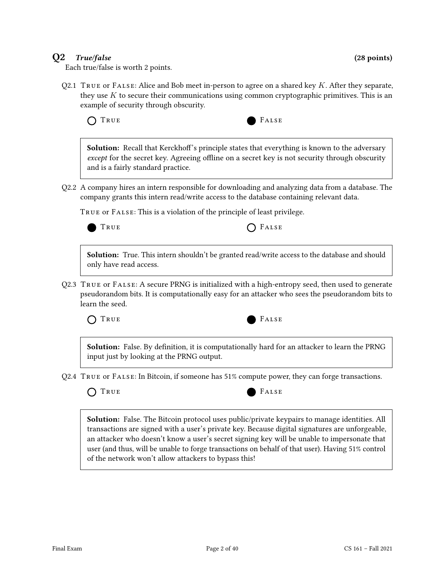### $Q2$  True/false (28 points)

Each true/false is worth 2 points.

Q2.1 TRUE or FALSE: Alice and Bob meet in-person to agree on a shared key K. After they separate, they use  $K$  to secure their communications using common cryptographic primitives. This is an example of security through obscurity.

TRUE **FALSE** 

Solution: Recall that Kerckhoff's principle states that everything is known to the adversary except for the secret key. Agreeing offline on a secret key is not security through obscurity and is a fairly standard practice.

Q2.2 A company hires an intern responsible for downloading and analyzing data from a database. The company grants this intern read/write access to the database containing relevant data.

True or False: This is a violation of the principle of least privilege.



 $T_{\text{RUE}}$   $T_{\text{RUE}}$ 

Solution: True. This intern shouldn't be granted read/write access to the database and should only have read access.

Q2.3 True or False: A secure PRNG is initialized with a high-entropy seed, then used to generate pseudorandom bits. It is computationally easy for an attacker who sees the pseudorandom bits to learn the seed.

TRUE **FALSE** 



Solution: False. By definition, it is computationally hard for an attacker to learn the PRNG input just by looking at the PRNG output.

Q2.4 True or False: In Bitcoin, if someone has 51% compute power, they can forge transactions.

O TRUE **FALSE** 

Solution: False. The Bitcoin protocol uses public/private keypairs to manage identities. All transactions are signed with a user's private key. Because digital signatures are unforgeable, an attacker who doesn't know a user's secret signing key will be unable to impersonate that user (and thus, will be unable to forge transactions on behalf of that user). Having 51% control of the network won't allow attackers to bypass this!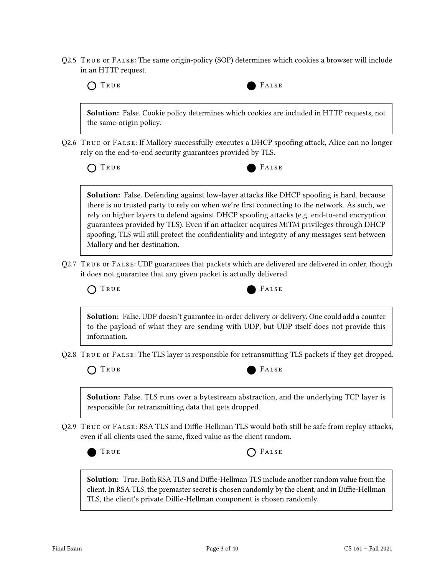Q2.5 True or False: The same origin-policy (SOP) determines which cookies a browser will include in an HTTP request.



TRUE **FALSE** 



Solution: False. UDP doesn't guarantee in-order delivery or delivery. One could add a counter to the payload of what they are sending with UDP, but UDP itself does not provide this information.

Q2.8 True or False: The TLS layer is responsible for retransmitting TLS packets if they get dropped.

TRUE **FALSE** 

Solution: False. TLS runs over a bytestream abstraction, and the underlying TCP layer is responsible for retransmitting data that gets dropped.

Q2.9 True or False: RSA TLS and Diffie-Hellman TLS would both still be safe from replay attacks, even if all clients used the same, fixed value as the client random.



Solution: True. Both RSA TLS and Diffie-Hellman TLS include another random value from the client. In RSA TLS, the premaster secret is chosen randomly by the client, and in Diffie-Hellman TLS, the client's private Diffie-Hellman component is chosen randomly.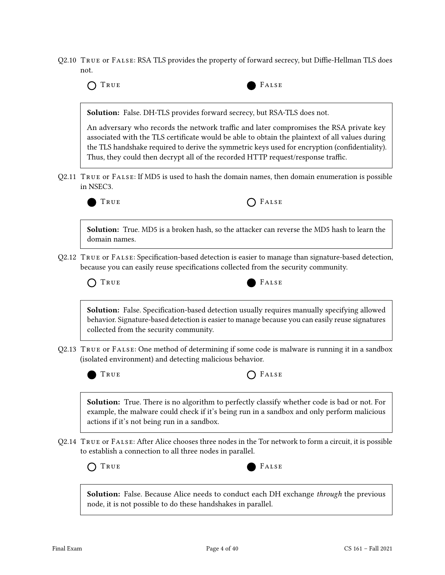Q2.10 True or False: RSA TLS provides the property of forward secrecy, but Diffie-Hellman TLS does not.

| TRUE                                        | FALSE                                                                                                                                                                                                                                                                                                                                                                          |
|---------------------------------------------|--------------------------------------------------------------------------------------------------------------------------------------------------------------------------------------------------------------------------------------------------------------------------------------------------------------------------------------------------------------------------------|
|                                             | Solution: False. DH-TLS provides forward secrecy, but RSA-TLS does not.                                                                                                                                                                                                                                                                                                        |
|                                             | An adversary who records the network traffic and later compromises the RSA private key<br>associated with the TLS certificate would be able to obtain the plaintext of all values during<br>the TLS handshake required to derive the symmetric keys used for encryption (confidentiality).<br>Thus, they could then decrypt all of the recorded HTTP request/response traffic. |
| in NSEC3.                                   | Q2.11 TRUE or FALSE: If MD5 is used to hash the domain names, then domain enumeration is possible                                                                                                                                                                                                                                                                              |
| TRUE                                        | FALSE                                                                                                                                                                                                                                                                                                                                                                          |
| domain names.                               | <b>Solution:</b> True. MD5 is a broken hash, so the attacker can reverse the MD5 hash to learn the                                                                                                                                                                                                                                                                             |
|                                             | Q2.12 TRUE or FALSE: Specification-based detection is easier to manage than signature-based detection,<br>because you can easily reuse specifications collected from the security community.                                                                                                                                                                                   |
| TRUE                                        | FALSE                                                                                                                                                                                                                                                                                                                                                                          |
| collected from the security community.      | <b>Solution:</b> False. Specification-based detection usually requires manually specifying allowed<br>behavior. Signature-based detection is easier to manage because you can easily reuse signatures                                                                                                                                                                          |
|                                             | Q2.13 TRUE or FALSE: One method of determining if some code is malware is running it in a sandbox<br>(isolated environment) and detecting malicious behavior.                                                                                                                                                                                                                  |
| TRUE                                        | FALSE                                                                                                                                                                                                                                                                                                                                                                          |
| actions if it's not being run in a sandbox. | Solution: True. There is no algorithm to perfectly classify whether code is bad or not. For<br>example, the malware could check if it's being run in a sandbox and only perform malicious                                                                                                                                                                                      |
|                                             | Q2.14   TRUE or FALSE: After Alice chooses three nodes in the Tor network to form a circuit, it is possible<br>to establish a connection to all three nodes in parallel.                                                                                                                                                                                                       |
| TRUE                                        | FALSE                                                                                                                                                                                                                                                                                                                                                                          |
|                                             | <b>Solution:</b> False. Because Alice needs to conduct each DH exchange through the previous<br>node, it is not possible to do these handshakes in parallel.                                                                                                                                                                                                                   |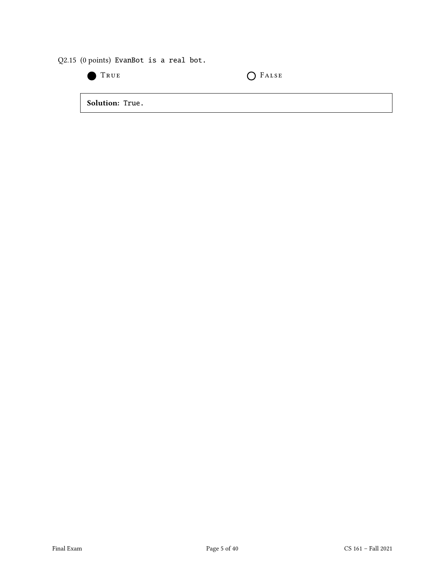Q2.15 (0 points) EvanBot is a real bot.

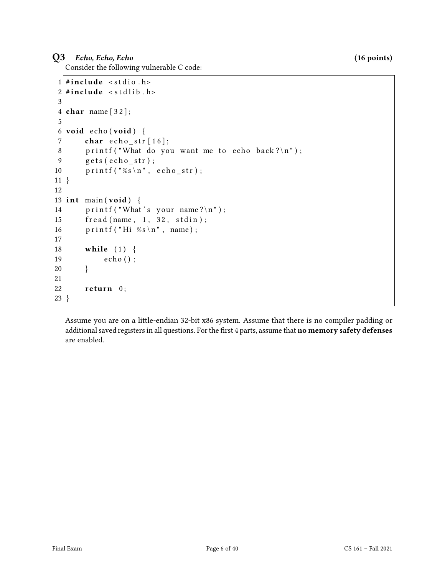### $Q3$  Echo, Echo, Echo (16 points)

Consider the following vulnerable C code:

```
1 \#include < stdio . h>
 2 \mid \#include \text{include} \leq stdlib.h>
 3
4 char name [32];
5
6 void echo (void) {
7 char echo_str[16];
8 printf ("What do you want me to echo back ?\ln");
9 \qquad \text{gets } ( \text{echo\_str} );10 \vert printf ("%s\n", echo_str);
11}
12
13 int main (void) {
14 printf ("What's your name?\n");
15 fread (name, 1, 32, stdin);
16 printf ("Hi %s\n", name);
17
18 while (1) {
19 echo ();
20 }
21
22 return 0;
23 }
```
Assume you are on a little-endian 32-bit x86 system. Assume that there is no compiler padding or additional saved registers in all questions. For the first 4 parts, assume that no memory safety defenses are enabled.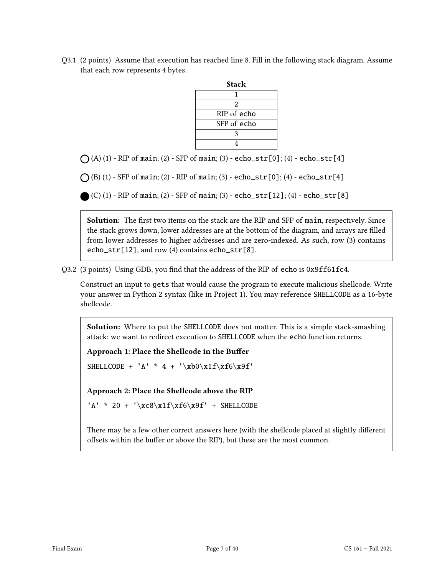Q3.1 (2 points) Assume that execution has reached line 8. Fill in the following stack diagram. Assume that each row represents 4 bytes.

| Stack       |  |  |
|-------------|--|--|
|             |  |  |
| 2           |  |  |
| RIP of echo |  |  |
| SFP of echo |  |  |
| ٩           |  |  |
|             |  |  |

 $\bigcap (A) (1)$  - RIP of main; (2) - SFP of main; (3) - echo\_str[0]; (4) - echo\_str[4]

 $\bigcap$  (B) (1) - SFP of main; (2) - RIP of main; (3) - echo\_str[0]; (4) - echo\_str[4]

(C) (1) - RIP of main; (2) - SFP of main; (3) - echo\_str[12]; (4) - echo\_str[8]

Solution: The first two items on the stack are the RIP and SFP of main, respectively. Since the stack grows down, lower addresses are at the bottom of the diagram, and arrays are filled from lower addresses to higher addresses and are zero-indexed. As such, row (3) contains echo\_str[12], and row (4) contains echo\_str[8].

Q3.2 (3 points) Using GDB, you find that the address of the RIP of echo is 0x9ff61fc4.

Construct an input to gets that would cause the program to execute malicious shellcode. Write your answer in Python 2 syntax (like in Project 1). You may reference SHELLCODE as a 16-byte shellcode.

Solution: Where to put the SHELLCODE does not matter. This is a simple stack-smashing attack: we want to redirect execution to SHELLCODE when the echo function returns.

Approach 1: Place the Shellcode in the Buffer

SHELLCODE + 'A' \* 4 + '\xb0\x1f\xf6\x9f'

Approach 2: Place the Shellcode above the RIP

'A' \* 20 + '\xc8\x1f\xf6\x9f' + SHELLCODE

There may be a few other correct answers here (with the shellcode placed at slightly different offsets within the buffer or above the RIP), but these are the most common.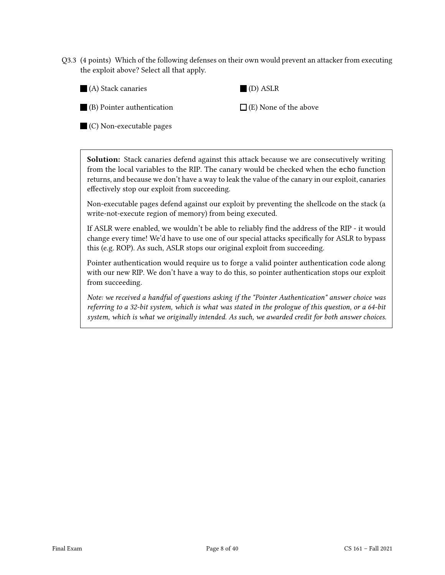Q3.3 (4 points) Which of the following defenses on their own would prevent an attacker from executing the exploit above? Select all that apply.

| (A) Stack canaries | (D) ASLR |
|--------------------|----------|
|--------------------|----------|

(B) Pointer authentication

 $\Box$  (E) None of the above

(C) Non-executable pages

Solution: Stack canaries defend against this attack because we are consecutively writing from the local variables to the RIP. The canary would be checked when the echo function returns, and because we don't have a way to leak the value of the canary in our exploit, canaries effectively stop our exploit from succeeding.

Non-executable pages defend against our exploit by preventing the shellcode on the stack (a write-not-execute region of memory) from being executed.

If ASLR were enabled, we wouldn't be able to reliably find the address of the RIP - it would change every time! We'd have to use one of our special attacks specifically for ASLR to bypass this (e.g. ROP). As such, ASLR stops our original exploit from succeeding.

Pointer authentication would require us to forge a valid pointer authentication code along with our new RIP. We don't have a way to do this, so pointer authentication stops our exploit from succeeding.

Note: we received a handful of questions asking if the "Pointer Authentication" answer choice was referring to a 32-bit system, which is what was stated in the prologue of this question, or a 64-bit system, which is what we originally intended. As such, we awarded credit for both answer choices.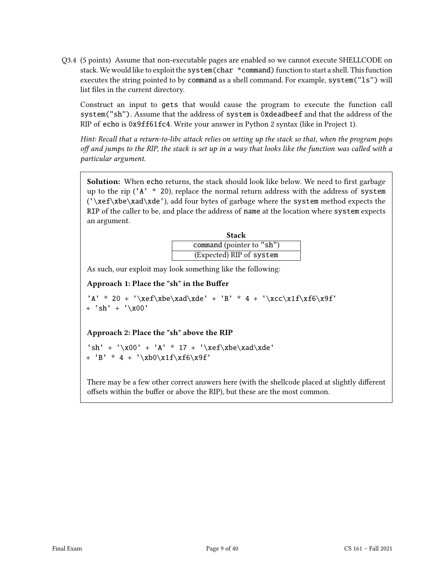Q3.4 (5 points) Assume that non-executable pages are enabled so we cannot execute SHELLCODE on stack. We would like to exploit the system(char \*command) function to start a shell. This function executes the string pointed to by command as a shell command. For example, system("ls") will list files in the current directory.

Construct an input to gets that would cause the program to execute the function call system("sh"). Assume that the address of system is 0xdeadbeef and that the address of the RIP of echo is 0x9ff61fc4. Write your answer in Python 2 syntax (like in Project 1).

Hint: Recall that a return-to-libc attack relies on setting up the stack so that, when the program pops off and jumps to the RIP, the stack is set up in a way that looks like the function was called with a particular argument.

Solution: When echo returns, the stack should look like below. We need to first garbage up to the rip ('A' \* 20), replace the normal return address with the address of system ('\xef\xbe\xad\xde'), add four bytes of garbage where the system method expects the RIP of the caller to be, and place the address of name at the location where system expects an argument.

| <b>Stack</b>              |  |  |
|---------------------------|--|--|
| command (pointer to "sh") |  |  |
| (Expected) RIP of system  |  |  |

As such, our exploit may look something like the following:

#### Approach 1: Place the "sh" in the Buffer

'A' \* 20 + '\xef\xbe\xad\xde' + 'B' \* 4 + '\xcc\x1f\xf6\x9f' + 'sh' + '\x00'

#### Approach 2: Place the "sh" above the RIP

'sh' + '\x00' + 'A' \* 17 + '\xef\xbe\xad\xde' + 'B' \* 4 + '\xb0\x1f\xf6\x9f'

There may be a few other correct answers here (with the shellcode placed at slightly different offsets within the buffer or above the RIP), but these are the most common.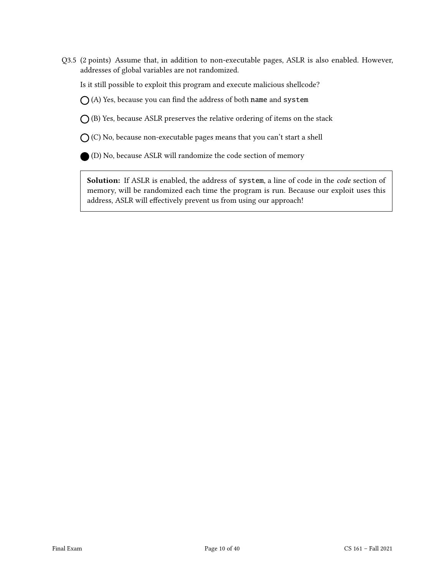Q3.5 (2 points) Assume that, in addition to non-executable pages, ASLR is also enabled. However, addresses of global variables are not randomized.

Is it still possible to exploit this program and execute malicious shellcode?

 $\bigcap$  (A) Yes, because you can find the address of both name and system

 $O$  (B) Yes, because ASLR preserves the relative ordering of items on the stack

 $\bigcap$  (C) No, because non-executable pages means that you can't start a shell

(D) No, because ASLR will randomize the code section of memory

Solution: If ASLR is enabled, the address of system, a line of code in the *code* section of memory, will be randomized each time the program is run. Because our exploit uses this address, ASLR will effectively prevent us from using our approach!

 $\overline{\phantom{a}}$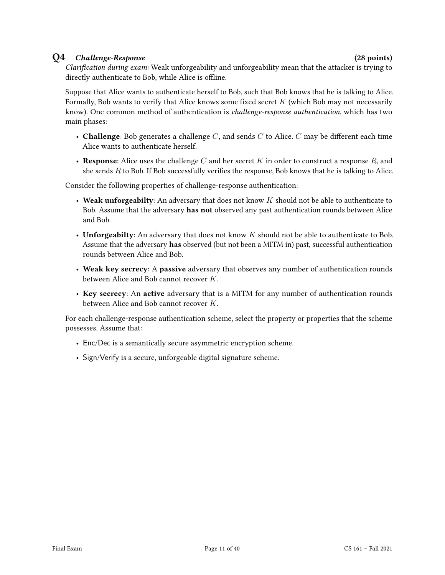#### Q4 Challenge-Response (28 points)

Clarification during exam: Weak unforgeability and unforgeability mean that the attacker is trying to directly authenticate to Bob, while Alice is offline.

Suppose that Alice wants to authenticate herself to Bob, such that Bob knows that he is talking to Alice. Formally, Bob wants to verify that Alice knows some fixed secret  $K$  (which Bob may not necessarily know). One common method of authentication is challenge-response authentication, which has two main phases:

- Challenge: Bob generates a challenge  $C$ , and sends  $C$  to Alice.  $C$  may be different each time Alice wants to authenticate herself.
- Response: Alice uses the challenge C and her secret K in order to construct a response R, and she sends  $R$  to Bob. If Bob successfully verifies the response, Bob knows that he is talking to Alice.

Consider the following properties of challenge-response authentication:

- Weak unforgeabilty: An adversary that does not know  $K$  should not be able to authenticate to Bob. Assume that the adversary has not observed any past authentication rounds between Alice and Bob.
- Unforgeabilty: An adversary that does not know  $K$  should not be able to authenticate to Bob. Assume that the adversary has observed (but not been a MITM in) past, successful authentication rounds between Alice and Bob.
- Weak key secrecy: A passive adversary that observes any number of authentication rounds between Alice and Bob cannot recover K.
- Key secrecy: An active adversary that is a MITM for any number of authentication rounds between Alice and Bob cannot recover K.

For each challenge-response authentication scheme, select the property or properties that the scheme possesses. Assume that:

- Enc/Dec is a semantically secure asymmetric encryption scheme.
- Sign/Verify is a secure, unforgeable digital signature scheme.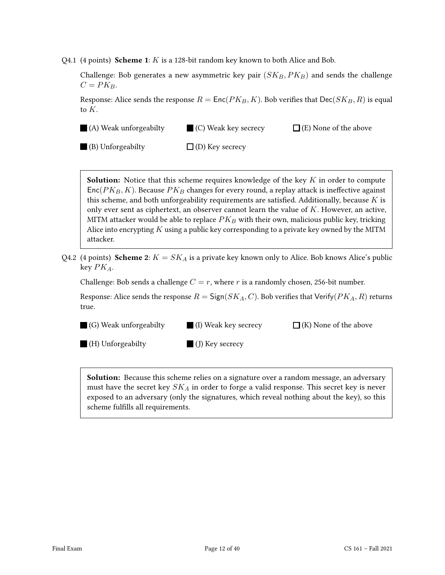Q4.1 (4 points) Scheme 1:  $K$  is a 128-bit random key known to both Alice and Bob.

Challenge: Bob generates a new asymmetric key pair  $(SK_B, PK_B)$  and sends the challenge  $C = PK_B$ .

Response: Alice sends the response  $R = \text{Enc}(PK_B, K)$ . Bob verifies that  $\text{Dec}(SK_B, R)$  is equal to K.

(A) Weak unforgeabilty (C) Weak key secrecy

 $\Box$  (E) None of the above

(B) Unforgeabilty  $\Box$  (D) Key secrecy

**Solution:** Notice that this scheme requires knowledge of the key  $K$  in order to compute  $Enc(PK_B, K)$ . Because  $PK_B$  changes for every round, a replay attack is ineffective against this scheme, and both unforgeability requirements are satisfied. Additionally, because  $K$  is only ever sent as ciphertext, an observer cannot learn the value of  $K$ . However, an active, MITM attacker would be able to replace  $PK_B$  with their own, malicious public key, tricking Alice into encrypting  $K$  using a public key corresponding to a private key owned by the MITM attacker.

Q4.2 (4 points) Scheme 2:  $K = SK_A$  is a private key known only to Alice. Bob knows Alice's public key  $PK_A$ .

Challenge: Bob sends a challenge  $C = r$ , where r is a randomly chosen, 256-bit number.

Response: Alice sends the response  $R = \text{Sign}(SK_A, C)$ . Bob verifies that Verify( $PK_A, R$ ) returns true.

- (G) Weak unforgeabilty (I) Weak key secrecy  $\Box$  (K) None of the above
- (H) Unforgeabilty  $\Box$  (J) Key secrecy

**Solution:** Because this scheme relies on a signature over a random message, an adversary must have the secret key  $SK_A$  in order to forge a valid response. This secret key is never exposed to an adversary (only the signatures, which reveal nothing about the key), so this scheme fulfills all requirements.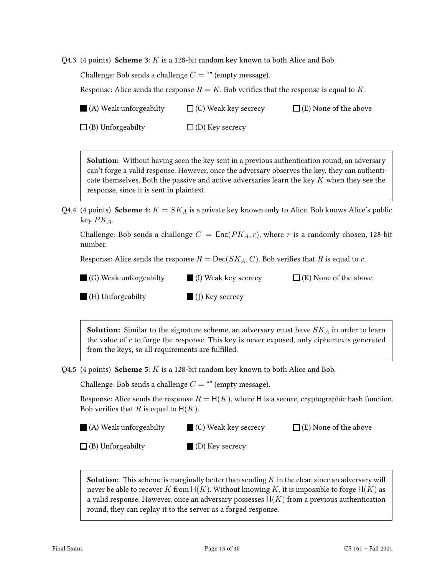Q4.3 (4 points) Scheme 3:  $K$  is a 128-bit random key known to both Alice and Bob.

Challenge: Bob sends a challenge  $C =$  "" (empty message).

Response: Alice sends the response  $R = K$ . Bob verifies that the response is equal to K.

(A) Weak unforgeabilty  $\Box$  (C) Weak key secrecy  $\Box$  (E) None of the above

 $\Box$  (B) Unforgeabilty  $\Box$  (D) Key secrecy

**Solution:** Without having seen the key sent in a previous authentication round, an adversary can't forge a valid response. However, once the adversary observes the key, they can authenticate themselves. Both the passive and active adversaries learn the key  $K$  when they see the response, since it is sent in plaintext.

Q4.4 (4 points) **Scheme 4**:  $K = SK_A$  is a private key known only to Alice. Bob knows Alice's public key  $PK_A$ .

Challenge: Bob sends a challenge  $C = \text{Enc}(PK_A, r)$ , where r is a randomly chosen, 128-bit number.

Response: Alice sends the response  $R = \text{Dec}(SK_A, C)$ . Bob verifies that R is equal to r.

(G) Weak unforgeabilty (I) Weak key secrecy  $\Box$  (K) None of the above

 $\blacksquare$  (H) Unforgeabilty

(J) Key secrecy

**Solution:** Similar to the signature scheme, an adversary must have  $SK_A$  in order to learn the value of  $r$  to forge the response. This key is never exposed, only ciphertexts generated from the keys, so all requirements are fulfilled.

Q4.5 (4 points) **Scheme 5**:  $K$  is a 128-bit random key known to both Alice and Bob.

Challenge: Bob sends a challenge  $C =$  "" (empty message).

Response: Alice sends the response  $R = H(K)$ , where H is a secure, cryptographic hash function. Bob verifies that R is equal to  $H(K)$ .

| (A) Weak unforgeabilty<br>$\blacksquare$ (C) Weak key secrecy | $\Box$ (E) None of the above |
|---------------------------------------------------------------|------------------------------|
|---------------------------------------------------------------|------------------------------|

 $\Box$  (B) Unforgeabilty (D) Key secrecy

**Solution:** This scheme is marginally better than sending  $K$  in the clear, since an adversary will never be able to recover K from  $H(K)$ . Without knowing K, it is impossible to forge  $H(K)$  as a valid response. However, once an adversary possesses  $H(K)$  from a previous authentication round, they can replay it to the server as a forged response.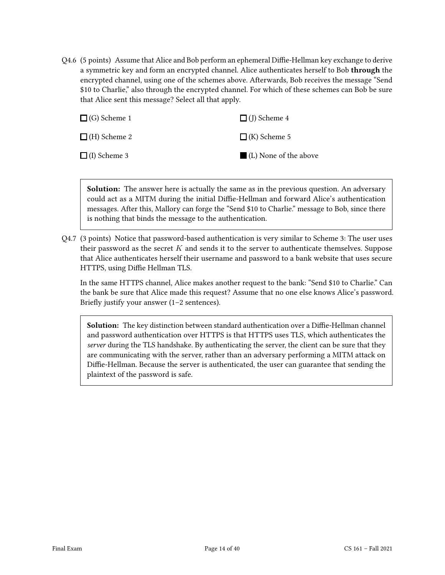Q4.6 (5 points) Assume that Alice and Bob perform an ephemeral Diffie-Hellman key exchange to derive a symmetric key and form an encrypted channel. Alice authenticates herself to Bob through the encrypted channel, using one of the schemes above. Afterwards, Bob receives the message "Send \$10 to Charlie," also through the encrypted channel. For which of these schemes can Bob be sure that Alice sent this message? Select all that apply.

| $\Box$ (G) Scheme 1 | $\Box$ (J) Scheme 4   |
|---------------------|-----------------------|
| $\Box$ (H) Scheme 2 | $\Box$ (K) Scheme 5   |
| $\Box$ (I) Scheme 3 | (L) None of the above |

Solution: The answer here is actually the same as in the previous question. An adversary could act as a MITM during the initial Diffie-Hellman and forward Alice's authentication messages. After this, Mallory can forge the "Send \$10 to Charlie." message to Bob, since there is nothing that binds the message to the authentication.

Q4.7 (3 points) Notice that password-based authentication is very similar to Scheme 3: The user uses their password as the secret  $K$  and sends it to the server to authenticate themselves. Suppose that Alice authenticates herself their username and password to a bank website that uses secure HTTPS, using Diffie Hellman TLS.

In the same HTTPS channel, Alice makes another request to the bank: "Send \$10 to Charlie." Can the bank be sure that Alice made this request? Assume that no one else knows Alice's password. Briefly justify your answer (1–2 sentences).

Solution: The key distinction between standard authentication over a Diffie-Hellman channel and password authentication over HTTPS is that HTTPS uses TLS, which authenticates the server during the TLS handshake. By authenticating the server, the client can be sure that they are communicating with the server, rather than an adversary performing a MITM attack on Diffie-Hellman. Because the server is authenticated, the user can guarantee that sending the plaintext of the password is safe.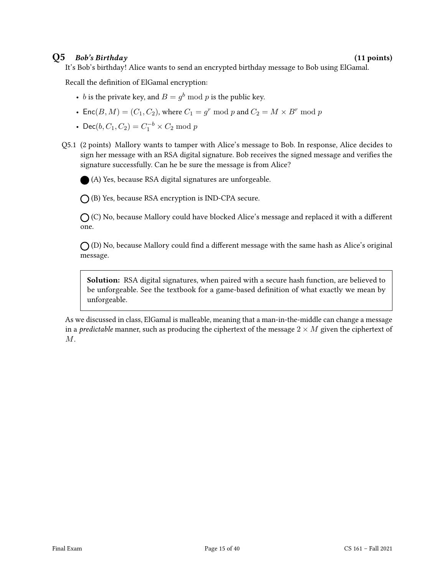#### $Q5$  Bob's Birthday (11 points)

It's Bob's birthday! Alice wants to send an encrypted birthday message to Bob using ElGamal.

Recall the definition of ElGamal encryption:

- *b* is the private key, and  $B = g^b \bmod p$  is the public key.
- Enc $(B, M) = (C_1, C_2)$ , where  $C_1 = g^r \mod p$  and  $C_2 = M \times B^r \mod p$
- Dec( $b, C_1, C_2$ ) =  $C_1^{-b} \times C_2$  mod p
- Q5.1 (2 points) Mallory wants to tamper with Alice's message to Bob. In response, Alice decides to sign her message with an RSA digital signature. Bob receives the signed message and verifies the signature successfully. Can he be sure the message is from Alice?

(A) Yes, because RSA digital signatures are unforgeable.

 $\bigcap$  (B) Yes, because RSA encryption is IND-CPA secure.

 $\bigcap$  (C) No, because Mallory could have blocked Alice's message and replaced it with a different one.

 $\bigcap$  (D) No, because Mallory could find a different message with the same hash as Alice's original message.

Solution: RSA digital signatures, when paired with a secure hash function, are believed to be unforgeable. See the textbook for a game-based definition of what exactly we mean by unforgeable.

As we discussed in class, ElGamal is malleable, meaning that a man-in-the-middle can change a message in a *predictable* manner, such as producing the ciphertext of the message  $2 \times M$  given the ciphertext of  $M$ .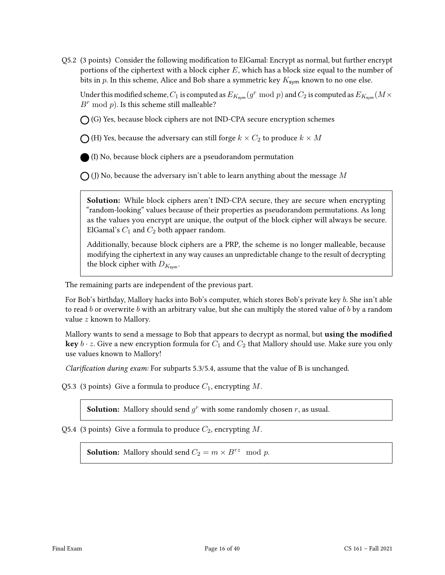Q5.2 (3 points) Consider the following modification to ElGamal: Encrypt as normal, but further encrypt portions of the ciphertext with a block cipher  $E$ , which has a block size equal to the number of bits in p. In this scheme, Alice and Bob share a symmetric key  $K_{sym}$  known to no one else.

Under this modified scheme,  $C_1$  is computed as  $E_{K_{\text{sym}}}(g^r \bmod p)$  and  $C_2$  is computed as  $E_{K_{\text{sym}}}(M \times p)$  $B^r \mod p$ . Is this scheme still malleable?

 $\bigcap$  (G) Yes, because block ciphers are not IND-CPA secure encryption schemes

 $\bigcap$  (H) Yes, because the adversary can still forge  $k \times C_2$  to produce  $k \times M$ 

(I) No, because block ciphers are a pseudorandom permutation

 $\bigcap$  (J) No, because the adversary isn't able to learn anything about the message M

Solution: While block ciphers aren't IND-CPA secure, they are secure when encrypting "random-looking" values because of their properties as pseudorandom permutations. As long as the values you encrypt are unique, the output of the block cipher will always be secure. ElGamal's  $C_1$  and  $C_2$  both appaer random.

Additionally, because block ciphers are a PRP, the scheme is no longer malleable, because modifying the ciphertext in any way causes an unpredictable change to the result of decrypting the block cipher with  $D_{K_{sym}}$ .

The remaining parts are independent of the previous part.

For Bob's birthday, Mallory hacks into Bob's computer, which stores Bob's private key b. She isn't able to read b or overwrite b with an arbitrary value, but she can multiply the stored value of b by a random value z known to Mallory.

Mallory wants to send a message to Bob that appears to decrypt as normal, but **using the modified key**  $b \cdot z$ . Give a new encryption formula for  $C_1$  and  $C_2$  that Mallory should use. Make sure you only use values known to Mallory!

Clarification during exam: For subparts 5.3/5.4, assume that the value of B is unchanged.

Q5.3 (3 points) Give a formula to produce  $C_1$ , encrypting M.

**Solution:** Mallory should send  $g^r$  with some randomly chosen  $r$ , as usual.

Q5.4 (3 points) Give a formula to produce  $C_2$ , encrypting M.

**Solution:** Mallory should send  $C_2 = m \times B^{rz} \mod p$ .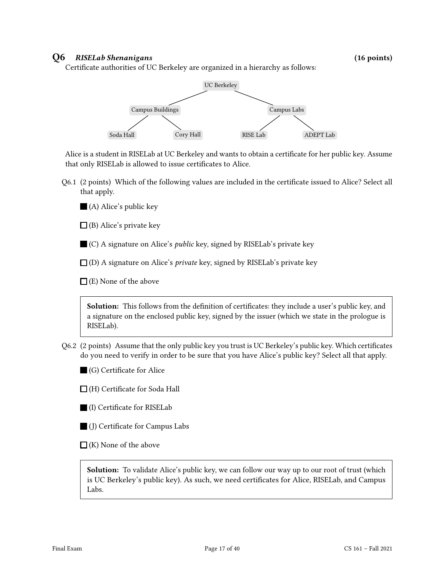#### Q6 RISELab Shenanigans (16 points)

Certificate authorities of UC Berkeley are organized in a hierarchy as follows:



Alice is a student in RISELab at UC Berkeley and wants to obtain a certificate for her public key. Assume that only RISELab is allowed to issue certificates to Alice.

Q6.1 (2 points) Which of the following values are included in the certificate issued to Alice? Select all that apply.

(A) Alice's public key

 $\Box$  (B) Alice's private key

C) A signature on Alice's *public* key, signed by RISELab's private key

 $\Box$  (D) A signature on Alice's *private* key, signed by RISELab's private key

 $\Box$  (E) None of the above

Solution: This follows from the definition of certificates: they include a user's public key, and a signature on the enclosed public key, signed by the issuer (which we state in the prologue is RISELab).

- Q6.2 (2 points) Assume that the only public key you trust is UC Berkeley's public key. Which certificates do you need to verify in order to be sure that you have Alice's public key? Select all that apply.
	- (G) Certificate for Alice
	- $\Box$  (H) Certificate for Soda Hall
	- (I) Certificate for RISELab
	- (J) Certificate for Campus Labs
	- $\Box$  (K) None of the above

Solution: To validate Alice's public key, we can follow our way up to our root of trust (which is UC Berkeley's public key). As such, we need certificates for Alice, RISELab, and Campus Labs.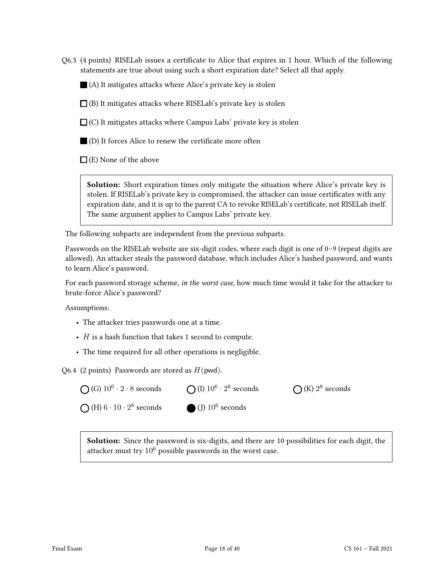Q6.3 (4 points) RISELab issues a certificate to Alice that expires in 1 hour. Which of the following statements are true about using such a short expiration date? Select all that apply.

 $\blacksquare$  (A) It mitigates attacks where Alice's private key is stolen

 $\Box$  (B) It mitigates attacks where RISELab's private key is stolen

 $\Box$  (C) It mitigates attacks where Campus Labs' private key is stolen

 $\blacksquare$  (D) It forces Alice to renew the certificate more often

 $\Box$  (E) None of the above

Solution: Short expiration times only mitigate the situation where Alice's private key is stolen. If RISELab's private key is compromised, the attacker can issue certificates with any expiration date, and it is up to the parent CA to revoke RISELab's certificate, not RISELab itself. The same argument applies to Campus Labs' private key.

The following subparts are independent from the previous subparts.

Passwords on the RISELab website are six-digit codes, where each digit is one of 0–9 (repeat digits are allowed). An attacker steals the password database, which includes Alice's hashed password, and wants to learn Alice's password.

For each password storage scheme, in the worst case, how much time would it take for the attacker to brute-force Alice's password?

Assumptions:

- The attacker tries passwords one at a time.
- $H$  is a hash function that takes 1 second to compute.
- The time required for all other operations is negligible.

Q6.4 (2 points) Passwords are stored as  $H(pwd)$ .



Solution: Since the password is six-digits, and there are 10 possibilities for each digit, the attacker must try  $10^6$  possible passwords in the worst case.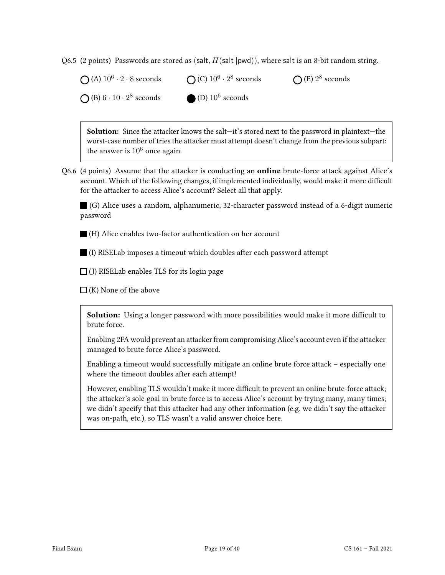Q6.5 (2 points) Passwords are stored as (salt,  $H(\text{salt}||\text{pwd})$ ), where salt is an 8-bit random string.

(A)  $10^6 \cdot 2 \cdot 8$  seconds (B)  $6 \cdot 10 \cdot 2^8$  seconds (C)  $10^6 \cdot 2^8$  seconds (D)  $10^6$  seconds (E)  $2^8$  seconds

Solution: Since the attacker knows the salt—it's stored next to the password in plaintext—the worst-case number of tries the attacker must attempt doesn't change from the previous subpart: the answer is  $10^6$  once again.

Q6.6 (4 points) Assume that the attacker is conducting an online brute-force attack against Alice's account. Which of the following changes, if implemented individually, would make it more difficult for the attacker to access Alice's account? Select all that apply.

(G) Alice uses a random, alphanumeric, 32-character password instead of a 6-digit numeric password

(H) Alice enables two-factor authentication on her account

(I) RISELab imposes a timeout which doubles after each password attempt

 $\Box$  (J) RISELab enables TLS for its login page

 $\Box$  (K) None of the above

Solution: Using a longer password with more possibilities would make it more difficult to brute force.

Enabling 2FA would prevent an attacker from compromising Alice's account even if the attacker managed to brute force Alice's password.

Enabling a timeout would successfully mitigate an online brute force attack – especially one where the timeout doubles after each attempt!

However, enabling TLS wouldn't make it more difficult to prevent an online brute-force attack; the attacker's sole goal in brute force is to access Alice's account by trying many, many times; we didn't specify that this attacker had any other information (e.g. we didn't say the attacker was on-path, etc.), so TLS wasn't a valid answer choice here.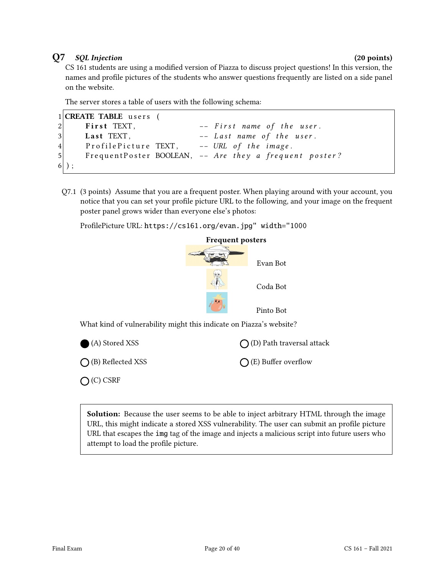### Q7 SQL Injection (20 points)

CS 161 students are using a modified version of Piazza to discuss project questions! In this version, the names and profile pictures of the students who answer questions frequently are listed on a side panel on the website.

The server stores a table of users with the following schema:

```
1 CREATE TABLE users (
2 First TEXT, - First name of the user.
3 Last TEXT, - Last name of the user.
4 Profile Picture TEXT, -- URL of the image.
5 Frequent Poster BOOLEAN, -- Are they a frequent poster?
6 );
```
Q7.1 (3 points) Assume that you are a frequent poster. When playing around with your account, you notice that you can set your profile picture URL to the following, and your image on the frequent poster panel grows wider than everyone else's photos:

ProfilePicture URL: https://cs161.org/evan.jpg" width="1000



What kind of vulnerability might this indicate on Piazza's website?

| (A) Stored XSS              | $\bigcap$ (D) Path traversal attack |
|-----------------------------|-------------------------------------|
| $\bigcap$ (B) Reflected XSS | $\bigcap$ (E) Buffer overflow       |
| $O(C)$ CSRF                 |                                     |

**Solution:** Because the user seems to be able to inject arbitrary HTML through the image URL, this might indicate a stored XSS vulnerability. The user can submit an profile picture URL that escapes the img tag of the image and injects a malicious script into future users who attempt to load the profile picture.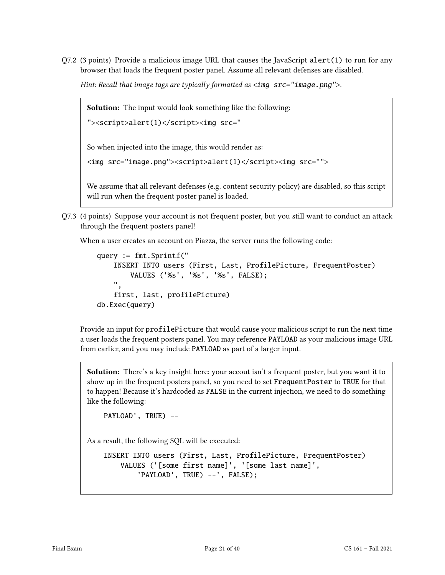$Q7.2$  (3 points) Provide a malicious image URL that causes the JavaScript alert(1) to run for any browser that loads the frequent poster panel. Assume all relevant defenses are disabled.

Hint: Recall that image tags are typically formatted as  $\langle \text{img src} = \text{image.png}$ ">.

Solution: The input would look something like the following:

```
"><script>alert(1)</script><img src="
```
So when injected into the image, this would render as:

```
<img src="image.png"><script>alert(1)</script><img src="">
```
We assume that all relevant defenses (e.g. content security policy) are disabled, so this script will run when the frequent poster panel is loaded.

Q7.3 (4 points) Suppose your account is not frequent poster, but you still want to conduct an attack through the frequent posters panel!

When a user creates an account on Piazza, the server runs the following code:

```
query := fmt.Sprintf("
    INSERT INTO users (First, Last, ProfilePicture, FrequentPoster)
        VALUES ('%s', '%s', '%s', FALSE);
    ",
    first, last, profilePicture)
db.Exec(query)
```
Provide an input for profilePicture that would cause your malicious script to run the next time a user loads the frequent posters panel. You may reference PAYLOAD as your malicious image URL from earlier, and you may include PAYLOAD as part of a larger input.

Solution: There's a key insight here: your accout isn't a frequent poster, but you want it to show up in the frequent posters panel, so you need to set FrequentPoster to TRUE for that to happen! Because it's hardcoded as FALSE in the current injection, we need to do something like the following:

```
PAYLOAD', TRUE) --
```
As a result, the following SQL will be executed:

```
INSERT INTO users (First, Last, ProfilePicture, FrequentPoster)
   VALUES ('[some first name]', '[some last name]',
        'PAYLOAD', TRUE) --', FALSE);
```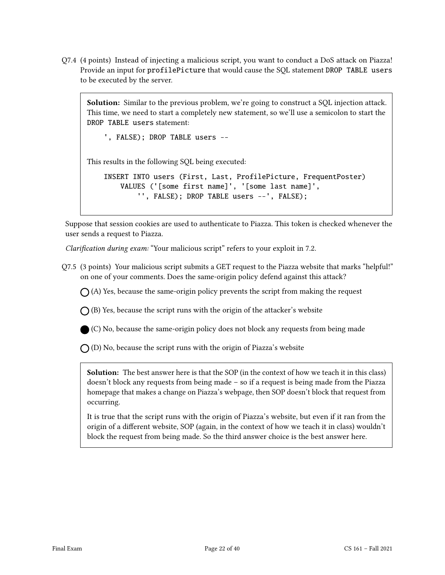Q7.4 (4 points) Instead of injecting a malicious script, you want to conduct a DoS attack on Piazza! Provide an input for profilePicture that would cause the SQL statement DROP TABLE users to be executed by the server.

Solution: Similar to the previous problem, we're going to construct a SQL injection attack. This time, we need to start a completely new statement, so we'll use a semicolon to start the DROP TABLE users statement:

', FALSE); DROP TABLE users --

This results in the following SQL being executed:

INSERT INTO users (First, Last, ProfilePicture, FrequentPoster) VALUES ('[some first name]', '[some last name]', '', FALSE); DROP TABLE users --', FALSE);

Suppose that session cookies are used to authenticate to Piazza. This token is checked whenever the user sends a request to Piazza.

Clarification during exam: "Your malicious script" refers to your exploit in 7.2.

Q7.5 (3 points) Your malicious script submits a GET request to the Piazza website that marks "helpful!" on one of your comments. Does the same-origin policy defend against this attack?

 $\bigcap$  (A) Yes, because the same-origin policy prevents the script from making the request

 $\bigcap$  (B) Yes, because the script runs with the origin of the attacker's website

(C) No, because the same-origin policy does not block any requests from being made

 $\bigcap$  (D) No, because the script runs with the origin of Piazza's website

Solution: The best answer here is that the SOP (in the context of how we teach it in this class) doesn't block any requests from being made – so if a request is being made from the Piazza homepage that makes a change on Piazza's webpage, then SOP doesn't block that request from occurring.

It is true that the script runs with the origin of Piazza's website, but even if it ran from the origin of a different website, SOP (again, in the context of how we teach it in class) wouldn't block the request from being made. So the third answer choice is the best answer here.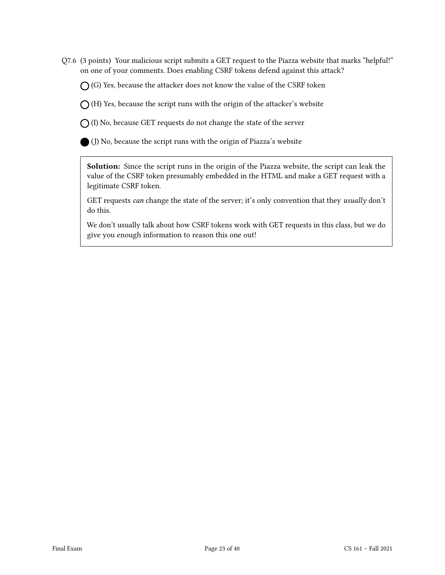Q7.6 (3 points) Your malicious script submits a GET request to the Piazza website that marks "helpful!" on one of your comments. Does enabling CSRF tokens defend against this attack?

 $\bigcap$  (G) Yes, because the attacker does not know the value of the CSRF token

 $\bigcap$  (H) Yes, because the script runs with the origin of the attacker's website

 $\bigcirc$  (I) No, because GET requests do not change the state of the server

(J) No, because the script runs with the origin of Piazza's website

Solution: Since the script runs in the origin of the Piazza website, the script can leak the value of the CSRF token presumably embedded in the HTML and make a GET request with a legitimate CSRF token.

GET requests can change the state of the server; it's only convention that they usually don't do this.

We don't usually talk about how CSRF tokens work with GET requests in this class, but we do give you enough information to reason this one out!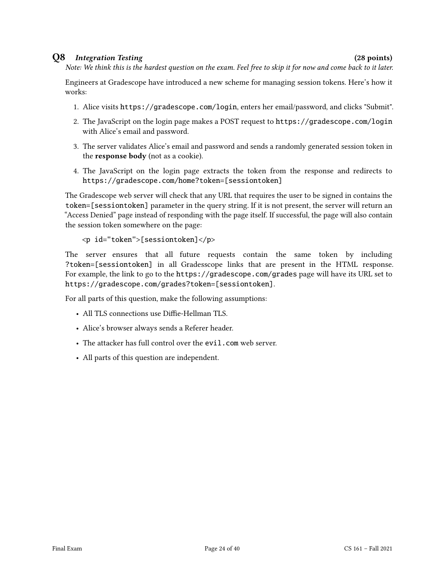#### Q8 Integration Testing (28 points)

Note: We think this is the hardest question on the exam. Feel free to skip it for now and come back to it later.

Engineers at Gradescope have introduced a new scheme for managing session tokens. Here's how it works:

- 1. Alice visits https://gradescope.com/login, enters her email/password, and clicks "Submit".
- 2. The JavaScript on the login page makes a POST request to https://gradescope.com/login with Alice's email and password.
- 3. The server validates Alice's email and password and sends a randomly generated session token in the response body (not as a cookie).
- 4. The JavaScript on the login page extracts the token from the response and redirects to https://gradescope.com/home?token=[sessiontoken]

The Gradescope web server will check that any URL that requires the user to be signed in contains the token=[sessiontoken] parameter in the query string. If it is not present, the server will return an "Access Denied" page instead of responding with the page itself. If successful, the page will also contain the session token somewhere on the page:

```
<p id="token">[sessiontoken]</p>
```
The server ensures that all future requests contain the same token by including ?token=[sessiontoken] in all Gradesscope links that are present in the HTML response. For example, the link to go to the https://gradescope.com/grades page will have its URL set to https://gradescope.com/grades?token=[sessiontoken].

For all parts of this question, make the following assumptions:

- All TLS connections use Diffie-Hellman TLS.
- Alice's browser always sends a Referer header.
- The attacker has full control over the evil.com web server.
- All parts of this question are independent.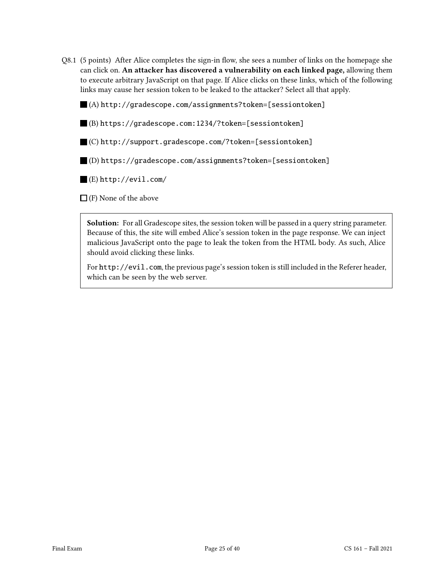Q8.1 (5 points) After Alice completes the sign-in flow, she sees a number of links on the homepage she can click on. An attacker has discovered a vulnerability on each linked page, allowing them to execute arbitrary JavaScript on that page. If Alice clicks on these links, which of the following links may cause her session token to be leaked to the attacker? Select all that apply.

(A) http://gradescope.com/assignments?token=[sessiontoken]

(B) https://gradescope.com:1234/?token=[sessiontoken]

(C) http://support.gradescope.com/?token=[sessiontoken]

(D) https://gradescope.com/assignments?token=[sessiontoken]

(E) http://evil.com/

 $\Box$  (F) None of the above

Solution: For all Gradescope sites, the session token will be passed in a query string parameter. Because of this, the site will embed Alice's session token in the page response. We can inject malicious JavaScript onto the page to leak the token from the HTML body. As such, Alice should avoid clicking these links.

For http://evil.com, the previous page's session token is still included in the Referer header, which can be seen by the web server.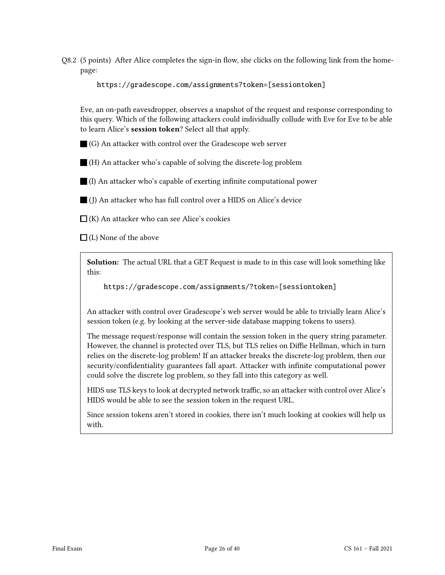Q8.2 (5 points) After Alice completes the sign-in flow, she clicks on the following link from the homepage:

https://gradescope.com/assignments?token=[sessiontoken]

Eve, an on-path eavesdropper, observes a snapshot of the request and response corresponding to this query. Which of the following attackers could individually collude with Eve for Eve to be able to learn Alice's session token? Select all that apply.

(G) An attacker with control over the Gradescope web server

(H) An attacker who's capable of solving the discrete-log problem

(I) An attacker who's capable of exerting infinite computational power

(J) An attacker who has full control over a HIDS on Alice's device

 $\Box$  (K) An attacker who can see Alice's cookies

 $\Box$  (L) None of the above

Solution: The actual URL that a GET Request is made to in this case will look something like this:

https://gradescope.com/assignments/?token=[sessiontoken]

An attacker with control over Gradescope's web server would be able to trivially learn Alice's session token (e.g. by looking at the server-side database mapping tokens to users).

The message request/response will contain the session token in the query string parameter. However, the channel is protected over TLS, but TLS relies on Diffie Hellman, which in turn relies on the discrete-log problem! If an attacker breaks the discrete-log problem, then our security/confidentiality guarantees fall apart. Attacker with infinite computational power could solve the discrete log problem, so they fall into this category as well.

HIDS use TLS keys to look at decrypted network traffic, so an attacker with control over Alice's HIDS would be able to see the session token in the request URL.

Since session tokens aren't stored in cookies, there isn't much looking at cookies will help us with.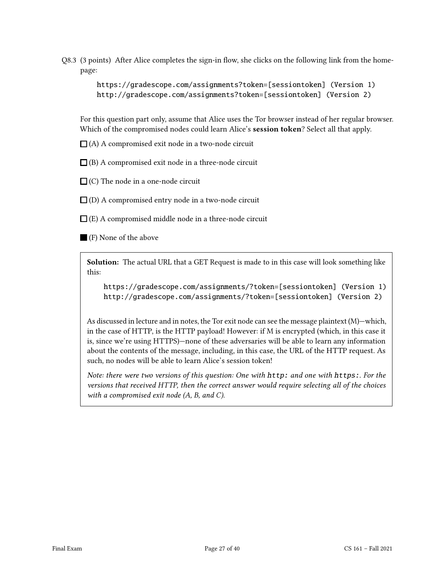Q8.3 (3 points) After Alice completes the sign-in flow, she clicks on the following link from the homepage:

> https://gradescope.com/assignments?token=[sessiontoken] (Version 1) http://gradescope.com/assignments?token=[sessiontoken] (Version 2)

For this question part only, assume that Alice uses the Tor browser instead of her regular browser. Which of the compromised nodes could learn Alice's session token? Select all that apply.

 $\Box$ (A) A compromised exit node in a two-node circuit

 $\Box$ (B) A compromised exit node in a three-node circuit

 $\Box$  (C) The node in a one-node circuit

 $\Box$ (D) A compromised entry node in a two-node circuit

 $\Box$  (E) A compromised middle node in a three-node circuit

(F) None of the above

Solution: The actual URL that a GET Request is made to in this case will look something like this:

https://gradescope.com/assignments/?token=[sessiontoken] (Version 1) http://gradescope.com/assignments/?token=[sessiontoken] (Version 2)

As discussed in lecture and in notes, the Tor exit node can see the message plaintext (M)—which, in the case of HTTP, is the HTTP payload! However: if M is encrypted (which, in this case it is, since we're using HTTPS)—none of these adversaries will be able to learn any information about the contents of the message, including, in this case, the URL of the HTTP request. As such, no nodes will be able to learn Alice's session token!

Note: there were two versions of this question: One with http: and one with https:. For the versions that received HTTP, then the correct answer would require selecting all of the choices with a compromised exit node (A, B, and C).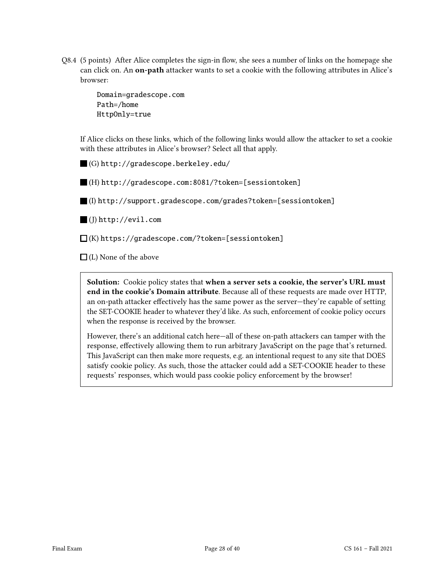Q8.4 (5 points) After Alice completes the sign-in flow, she sees a number of links on the homepage she can click on. An **on-path** attacker wants to set a cookie with the following attributes in Alice's browser:

> Domain=gradescope.com Path=/home HttpOnly=true

If Alice clicks on these links, which of the following links would allow the attacker to set a cookie with these attributes in Alice's browser? Select all that apply.

(G) http://gradescope.berkeley.edu/

(H) http://gradescope.com:8081/?token=[sessiontoken]

(I) http://support.gradescope.com/grades?token=[sessiontoken]

(J) http://evil.com

 $\Box$ (K) https://gradescope.com/?token=[sessiontoken]

 $\Box$  (L) None of the above

Solution: Cookie policy states that when a server sets a cookie, the server's URL must end in the cookie's Domain attribute. Because all of these requests are made over HTTP, an on-path attacker effectively has the same power as the server—they're capable of setting the SET-COOKIE header to whatever they'd like. As such, enforcement of cookie policy occurs when the response is received by the browser.

However, there's an additional catch here—all of these on-path attackers can tamper with the response, effectively allowing them to run arbitrary JavaScript on the page that's returned. This JavaScript can then make more requests, e.g. an intentional request to any site that DOES satisfy cookie policy. As such, those the attacker could add a SET-COOKIE header to these requests' responses, which would pass cookie policy enforcement by the browser!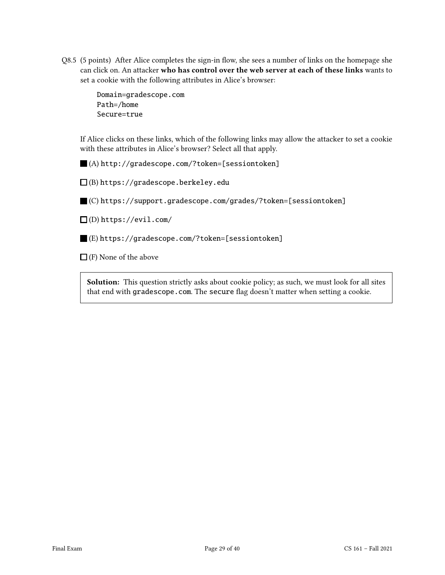Q8.5 (5 points) After Alice completes the sign-in flow, she sees a number of links on the homepage she can click on. An attacker who has control over the web server at each of these links wants to set a cookie with the following attributes in Alice's browser:

> Domain=gradescope.com Path=/home Secure=true

If Alice clicks on these links, which of the following links may allow the attacker to set a cookie with these attributes in Alice's browser? Select all that apply.

(A) http://gradescope.com/?token=[sessiontoken]

 $\square$ (B) https://gradescope.berkeley.edu

(C) https://support.gradescope.com/grades/?token=[sessiontoken]

 $\square$  (D) https://evil.com/

(E) https://gradescope.com/?token=[sessiontoken]

 $\Box$  (F) None of the above

Solution: This question strictly asks about cookie policy; as such, we must look for all sites that end with gradescope.com. The secure flag doesn't matter when setting a cookie.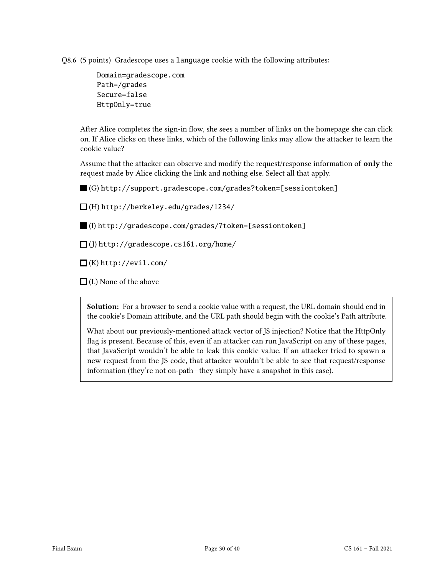Q8.6 (5 points) Gradescope uses a language cookie with the following attributes:

Domain=gradescope.com Path=/grades Secure=false HttpOnly=true

After Alice completes the sign-in flow, she sees a number of links on the homepage she can click on. If Alice clicks on these links, which of the following links may allow the attacker to learn the cookie value?

Assume that the attacker can observe and modify the request/response information of only the request made by Alice clicking the link and nothing else. Select all that apply.

(G) http://support.gradescope.com/grades?token=[sessiontoken]

(H) http://berkeley.edu/grades/1234/

(I) http://gradescope.com/grades/?token=[sessiontoken]

 $\Box$ (J) http://gradescope.cs161.org/home/

 $\square$ (K) http://evil.com/

 $\Box$ (L) None of the above

Solution: For a browser to send a cookie value with a request, the URL domain should end in the cookie's Domain attribute, and the URL path should begin with the cookie's Path attribute.

What about our previously-mentioned attack vector of JS injection? Notice that the HttpOnly flag is present. Because of this, even if an attacker can run JavaScript on any of these pages, that JavaScript wouldn't be able to leak this cookie value. If an attacker tried to spawn a new request from the JS code, that attacker wouldn't be able to see that request/response information (they're not on-path—they simply have a snapshot in this case).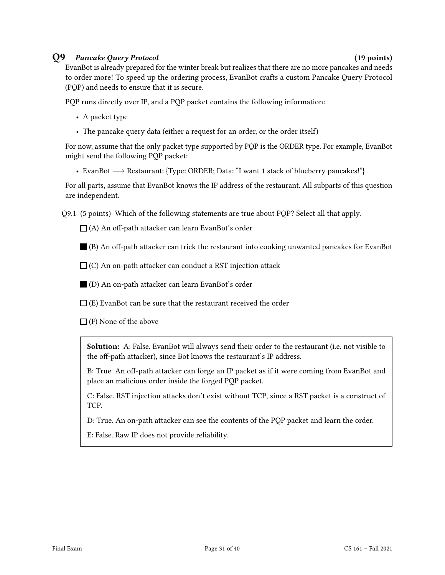### Q9 Pancake Query Protocol (19 points)

EvanBot is already prepared for the winter break but realizes that there are no more pancakes and needs to order more! To speed up the ordering process, EvanBot crafts a custom Pancake Query Protocol (PQP) and needs to ensure that it is secure.

PQP runs directly over IP, and a PQP packet contains the following information:

- A packet type
- The pancake query data (either a request for an order, or the order itself)

For now, assume that the only packet type supported by PQP is the ORDER type. For example, EvanBot might send the following PQP packet:

• EvanBot −→ Restaurant: {Type: ORDER; Data: "I want 1 stack of blueberry pancakes!"}

For all parts, assume that EvanBot knows the IP address of the restaurant. All subparts of this question are independent.

Q9.1 (5 points) Which of the following statements are true about PQP? Select all that apply.

 $\Box$  (A) An off-path attacker can learn EvanBot's order

(B) An off-path attacker can trick the restaurant into cooking unwanted pancakes for EvanBot

 $\Box$  (C) An on-path attacker can conduct a RST injection attack

(D) An on-path attacker can learn EvanBot's order

 $\Box$  (E) EvanBot can be sure that the restaurant received the order

 $\Box$  (F) None of the above

Solution: A: False. EvanBot will always send their order to the restaurant (i.e. not visible to the off-path attacker), since Bot knows the restaurant's IP address.

B: True. An off-path attacker can forge an IP packet as if it were coming from EvanBot and place an malicious order inside the forged PQP packet.

C: False. RST injection attacks don't exist without TCP, since a RST packet is a construct of TCP.

D: True. An on-path attacker can see the contents of the PQP packet and learn the order.

E: False. Raw IP does not provide reliability.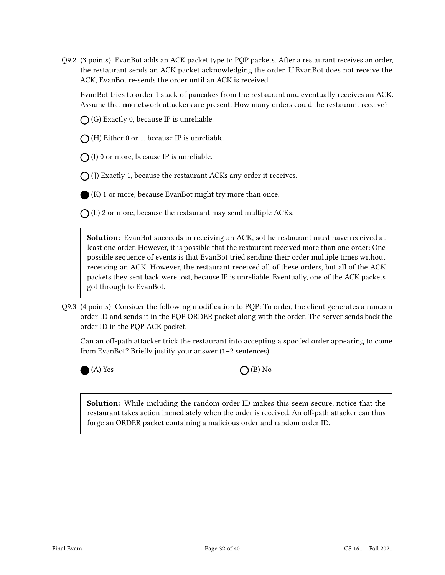Q9.2 (3 points) EvanBot adds an ACK packet type to PQP packets. After a restaurant receives an order, the restaurant sends an ACK packet acknowledging the order. If EvanBot does not receive the ACK, EvanBot re-sends the order until an ACK is received.

EvanBot tries to order 1 stack of pancakes from the restaurant and eventually receives an ACK. Assume that **no** network attackers are present. How many orders could the restaurant receive?

 $\bigcap$  (G) Exactly 0, because IP is unreliable.

 $\bigcap$  (H) Either 0 or 1, because IP is unreliable.

 $\bigcap$  (I) 0 or more, because IP is unreliable.

 $\bigcap$  (J) Exactly 1, because the restaurant ACKs any order it receives.

(K) 1 or more, because EvanBot might try more than once.

 $\bigcap$  (L) 2 or more, because the restaurant may send multiple ACKs.

Solution: EvanBot succeeds in receiving an ACK, sot he restaurant must have received at least one order. However, it is possible that the restaurant received more than one order: One possible sequence of events is that EvanBot tried sending their order multiple times without receiving an ACK. However, the restaurant received all of these orders, but all of the ACK packets they sent back were lost, because IP is unreliable. Eventually, one of the ACK packets got through to EvanBot.

Q9.3 (4 points) Consider the following modification to PQP: To order, the client generates a random order ID and sends it in the PQP ORDER packet along with the order. The server sends back the order ID in the PQP ACK packet.

Can an off-path attacker trick the restaurant into accepting a spoofed order appearing to come from EvanBot? Briefly justify your answer (1–2 sentences).

 $(A)$  Yes  $\bigcap$  (B) No

Solution: While including the random order ID makes this seem secure, notice that the restaurant takes action immediately when the order is received. An off-path attacker can thus forge an ORDER packet containing a malicious order and random order ID.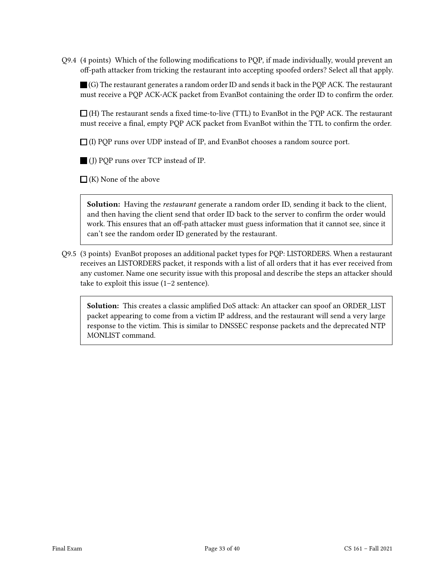Q9.4 (4 points) Which of the following modifications to PQP, if made individually, would prevent an off-path attacker from tricking the restaurant into accepting spoofed orders? Select all that apply.

 $\blacksquare$  (G) The restaurant generates a random order ID and sends it back in the POP ACK. The restaurant must receive a PQP ACK-ACK packet from EvanBot containing the order ID to confirm the order.

 $\Box$  (H) The restaurant sends a fixed time-to-live (TTL) to EvanBot in the PQP ACK. The restaurant must receive a final, empty PQP ACK packet from EvanBot within the TTL to confirm the order.

 $\Box$  (I) PQP runs over UDP instead of IP, and EvanBot chooses a random source port.

(J) PQP runs over TCP instead of IP.

 $\Box$  (K) None of the above

**Solution:** Having the *restaurant* generate a random order ID, sending it back to the client, and then having the client send that order ID back to the server to confirm the order would work. This ensures that an off-path attacker must guess information that it cannot see, since it can't see the random order ID generated by the restaurant.

Q9.5 (3 points) EvanBot proposes an additional packet types for PQP: LISTORDERS. When a restaurant receives an LISTORDERS packet, it responds with a list of all orders that it has ever received from any customer. Name one security issue with this proposal and describe the steps an attacker should take to exploit this issue (1–2 sentence).

Solution: This creates a classic amplified DoS attack: An attacker can spoof an ORDER\_LIST packet appearing to come from a victim IP address, and the restaurant will send a very large response to the victim. This is similar to DNSSEC response packets and the deprecated NTP MONLIST command.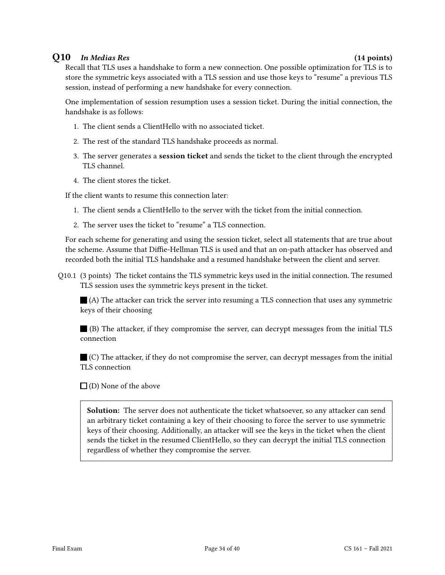### Q10 In Medias Res (14 points)

Recall that TLS uses a handshake to form a new connection. One possible optimization for TLS is to store the symmetric keys associated with a TLS session and use those keys to "resume" a previous TLS session, instead of performing a new handshake for every connection.

One implementation of session resumption uses a session ticket. During the initial connection, the handshake is as follows:

- 1. The client sends a ClientHello with no associated ticket.
- 2. The rest of the standard TLS handshake proceeds as normal.
- 3. The server generates a session ticket and sends the ticket to the client through the encrypted TLS channel.
- 4. The client stores the ticket.

If the client wants to resume this connection later:

- 1. The client sends a ClientHello to the server with the ticket from the initial connection.
- 2. The server uses the ticket to "resume" a TLS connection.

For each scheme for generating and using the session ticket, select all statements that are true about the scheme. Assume that Diffie-Hellman TLS is used and that an on-path attacker has observed and recorded both the initial TLS handshake and a resumed handshake between the client and server.

Q10.1 (3 points) The ticket contains the TLS symmetric keys used in the initial connection. The resumed TLS session uses the symmetric keys present in the ticket.

(A) The attacker can trick the server into resuming a TLS connection that uses any symmetric keys of their choosing

(B) The attacker, if they compromise the server, can decrypt messages from the initial TLS connection

 $\blacksquare$  (C) The attacker, if they do not compromise the server, can decrypt messages from the initial TLS connection

 $\square$  (D) None of the above

Solution: The server does not authenticate the ticket whatsoever, so any attacker can send an arbitrary ticket containing a key of their choosing to force the server to use symmetric keys of their choosing. Additionally, an attacker will see the keys in the ticket when the client sends the ticket in the resumed ClientHello, so they can decrypt the initial TLS connection regardless of whether they compromise the server.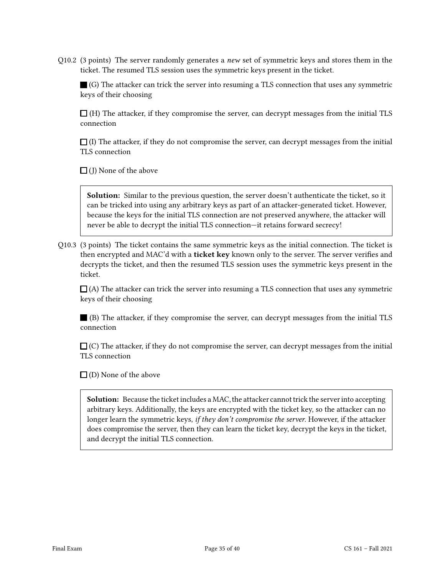Q10.2 (3 points) The server randomly generates a *new* set of symmetric keys and stores them in the ticket. The resumed TLS session uses the symmetric keys present in the ticket.

 $\blacksquare$  (G) The attacker can trick the server into resuming a TLS connection that uses any symmetric keys of their choosing

 $\Box$  (H) The attacker, if they compromise the server, can decrypt messages from the initial TLS connection

 $\Box$  (I) The attacker, if they do not compromise the server, can decrypt messages from the initial TLS connection

 $\Box$  (J) None of the above

Solution: Similar to the previous question, the server doesn't authenticate the ticket, so it can be tricked into using any arbitrary keys as part of an attacker-generated ticket. However, because the keys for the initial TLS connection are not preserved anywhere, the attacker will never be able to decrypt the initial TLS connection—it retains forward secrecy!

Q10.3 (3 points) The ticket contains the same symmetric keys as the initial connection. The ticket is then encrypted and MAC'd with a ticket key known only to the server. The server verifies and decrypts the ticket, and then the resumed TLS session uses the symmetric keys present in the ticket.

 $\Box$  (A) The attacker can trick the server into resuming a TLS connection that uses any symmetric keys of their choosing

(B) The attacker, if they compromise the server, can decrypt messages from the initial TLS connection

 $\Box$  (C) The attacker, if they do not compromise the server, can decrypt messages from the initial TLS connection

 $\Box$  (D) None of the above

Solution: Because the ticket includes a MAC, the attacker cannot trick the server into accepting arbitrary keys. Additionally, the keys are encrypted with the ticket key, so the attacker can no longer learn the symmetric keys, if they don't compromise the server. However, if the attacker does compromise the server, then they can learn the ticket key, decrypt the keys in the ticket, and decrypt the initial TLS connection.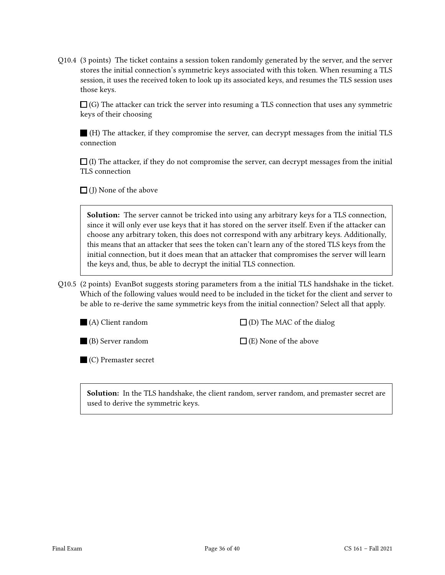Q10.4 (3 points) The ticket contains a session token randomly generated by the server, and the server stores the initial connection's symmetric keys associated with this token. When resuming a TLS session, it uses the received token to look up its associated keys, and resumes the TLS session uses those keys.

 $\Box$  (G) The attacker can trick the server into resuming a TLS connection that uses any symmetric keys of their choosing

(H) The attacker, if they compromise the server, can decrypt messages from the initial TLS connection

 $\Box$  (I) The attacker, if they do not compromise the server, can decrypt messages from the initial TLS connection

 $\Box$  (J) None of the above

Solution: The server cannot be tricked into using any arbitrary keys for a TLS connection, since it will only ever use keys that it has stored on the server itself. Even if the attacker can choose any arbitrary token, this does not correspond with any arbitrary keys. Additionally, this means that an attacker that sees the token can't learn any of the stored TLS keys from the initial connection, but it does mean that an attacker that compromises the server will learn the keys and, thus, be able to decrypt the initial TLS connection.

Q10.5 (2 points) EvanBot suggests storing parameters from a the initial TLS handshake in the ticket. Which of the following values would need to be included in the ticket for the client and server to be able to re-derive the same symmetric keys from the initial connection? Select all that apply.

(A) Client random

 $\square$  (D) The MAC of the dialog

(B) Server random

 $\Box$  (E) None of the above

(C) Premaster secret

Solution: In the TLS handshake, the client random, server random, and premaster secret are used to derive the symmetric keys.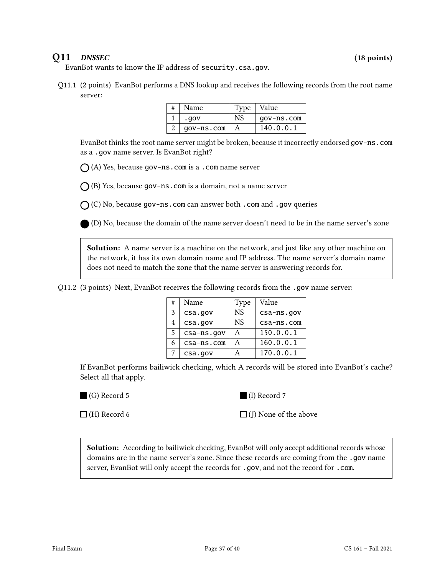### Q11 DNSSEC (18 points)

EvanBot wants to know the IP address of security.csa.gov.

Q11.1 (2 points) EvanBot performs a DNS lookup and receives the following records from the root name server:

| # | Name       | Type | Value      |
|---|------------|------|------------|
|   | .gov       | NS   | gov-ns.com |
|   | gov-ns.com | A    | 140.0.0.1  |

EvanBot thinks the root name server might be broken, because it incorrectly endorsed gov-ns.com as a .gov name server. Is EvanBot right?

 $\bigcap$  (A) Yes, because gov-ns.com is a .com name server

 $\bigcap$  (B) Yes, because gov-ns.com is a domain, not a name server

 $O$  (C) No, because gov-ns.com can answer both .com and .gov queries

(D) No, because the domain of the name server doesn't need to be in the name server's zone

Solution: A name server is a machine on the network, and just like any other machine on the network, it has its own domain name and IP address. The name server's domain name does not need to match the zone that the name server is answering records for.

|  |  |  | Q11.2 (3 points) Next, EvanBot receives the following records from the .gov name server: |
|--|--|--|------------------------------------------------------------------------------------------|
|  |  |  |                                                                                          |

| # | Name       | Type | Value      |
|---|------------|------|------------|
| 3 | csa.gov    | NS.  | csa-ns.gov |
| 4 | csa.gov    | NS   | csa-ns.com |
| 5 | csa-ns.gov | А    | 150.0.0.1  |
| 6 | csa-ns.com | Α    | 160.0.0.1  |
|   | csa.gov    | А    | 170.0.0.1  |

If EvanBot performs bailiwick checking, which A records will be stored into EvanBot's cache? Select all that apply.

(G) Record 5

(I) Record 7

 $\Box$  (H) Record 6

 $\Box$  (J) None of the above

Solution: According to bailiwick checking, EvanBot will only accept additional records whose domains are in the name server's zone. Since these records are coming from the .gov name server, EvanBot will only accept the records for .gov, and not the record for .com.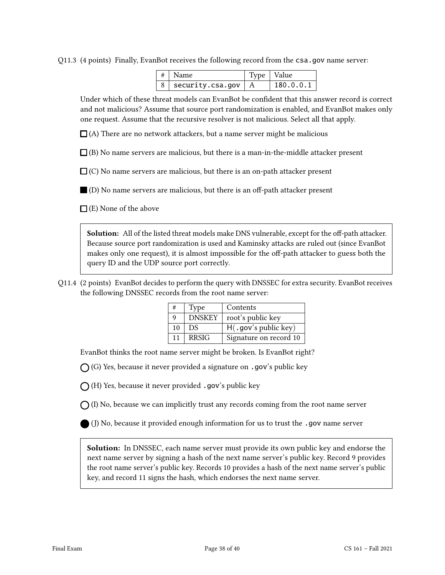Q11.3 (4 points) Finally, EvanBot receives the following record from the csa.gov name server:

| $ # $ Name                              | Type   Value |           |
|-----------------------------------------|--------------|-----------|
| $8 \mid$ security.csa.gov $\mid A \mid$ |              | 180.0.0.1 |

Under which of these threat models can EvanBot be confident that this answer record is correct and not malicious? Assume that source port randomization is enabled, and EvanBot makes only one request. Assume that the recursive resolver is not malicious. Select all that apply.

 $\Box$ (A) There are no network attackers, but a name server might be malicious

 $\Box$ (B) No name servers are malicious, but there is a man-in-the-middle attacker present

 $\Box$  (C) No name servers are malicious, but there is an on-path attacker present

 $\Box$  (D) No name servers are malicious, but there is an off-path attacker present

 $\Box$  (E) None of the above

Solution: All of the listed threat models make DNS vulnerable, except for the off-path attacker. Because source port randomization is used and Kaminsky attacks are ruled out (since EvanBot makes only one request), it is almost impossible for the off-path attacker to guess both the query ID and the UDP source port correctly.

Q11.4 (2 points) EvanBot decides to perform the query with DNSSEC for extra security. EvanBot receives the following DNSSEC records from the root name server:

|    | Type          | Contents               |
|----|---------------|------------------------|
| q  | <b>DNSKEY</b> | root's public key      |
| 10 | DS.           | H(.gov's public key)   |
| 11 | <b>RRSIG</b>  | Signature on record 10 |

EvanBot thinks the root name server might be broken. Is EvanBot right?

 $\bigcap$  (G) Yes, because it never provided a signature on .gov's public key

 $\bigcap$  (H) Yes, because it never provided .gov's public key

 $\bigcap$  (I) No, because we can implicitly trust any records coming from the root name server

(J) No, because it provided enough information for us to trust the .gov name server

Solution: In DNSSEC, each name server must provide its own public key and endorse the next name server by signing a hash of the next name server's public key. Record 9 provides the root name server's public key. Records 10 provides a hash of the next name server's public key, and record 11 signs the hash, which endorses the next name server.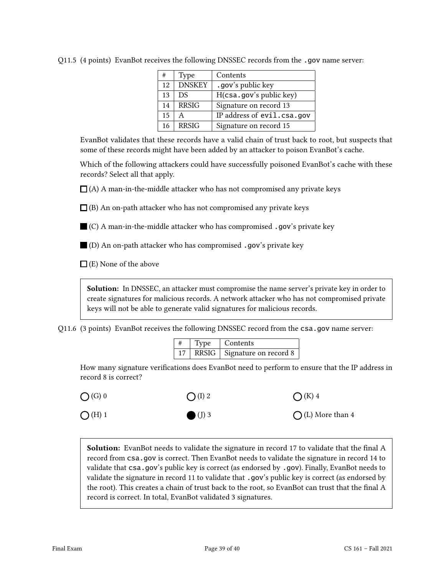| #  | Type          | Contents                   |
|----|---------------|----------------------------|
| 12 | <b>DNSKEY</b> | .gov's public key          |
| 13 | DS.           | H(csa.gov's public key)    |
| 14 | <b>RRSIG</b>  | Signature on record 13     |
| 15 |               | IP address of evil.csa.gov |
| 16 | <b>RRSIG</b>  | Signature on record 15     |

Q11.5 (4 points) EvanBot receives the following DNSSEC records from the .gov name server:

EvanBot validates that these records have a valid chain of trust back to root, but suspects that some of these records might have been added by an attacker to poison EvanBot's cache.

Which of the following attackers could have successfully poisoned EvanBot's cache with these records? Select all that apply.

 $\Box$ (A) A man-in-the-middle attacker who has not compromised any private keys

 $\Box$  (B) An on-path attacker who has not compromised any private keys

 $\blacksquare$  (C) A man-in-the-middle attacker who has compromised .gov's private key

 $\blacksquare$  (D) An on-path attacker who has compromised .gov's private key

 $\Box$  (E) None of the above

Solution: In DNSSEC, an attacker must compromise the name server's private key in order to create signatures for malicious records. A network attacker who has not compromised private keys will not be able to generate valid signatures for malicious records.

Q11.6 (3 points) EvanBot receives the following DNSSEC record from the csa.gov name server:

| #  | Type | Contents                      |
|----|------|-------------------------------|
| 17 |      | RRSIG   Signature on record 8 |

How many signature verifications does EvanBot need to perform to ensure that the IP address in record 8 is correct?

 $\bigcap$  (G) 0  $\bigcirc$  (H) 1  $\bigcap (I) 2$  $(J)$  3  $\bigcap$  (K) 4  $\bigcap$  (L) More than 4

Solution: EvanBot needs to validate the signature in record 17 to validate that the final A record from csa.gov is correct. Then EvanBot needs to validate the signature in record 14 to validate that csa.gov's public key is correct (as endorsed by .gov). Finally, EvanBot needs to validate the signature in record 11 to validate that .gov's public key is correct (as endorsed by the root). This creates a chain of trust back to the root, so EvanBot can trust that the final A record is correct. In total, EvanBot validated 3 signatures.